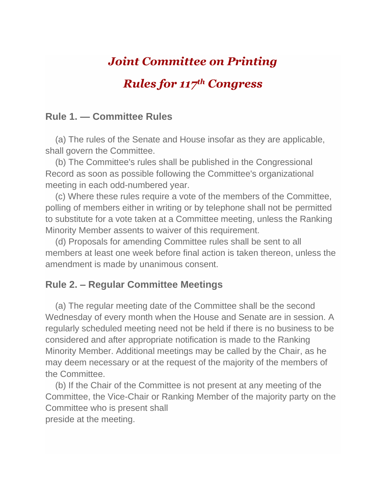# *Joint Committee on Printing*

## *Rules for 117th Congress*

#### **Rule 1. — Committee Rules**

 (a) The rules of the Senate and House insofar as they are applicable, shall govern the Committee.

 (b) The Committee's rules shall be published in the Congressional Record as soon as possible following the Committee's organizational meeting in each odd-numbered year.

 (c) Where these rules require a vote of the members of the Committee, polling of members either in writing or by telephone shall not be permitted to substitute for a vote taken at a Committee meeting, unless the Ranking Minority Member assents to waiver of this requirement.

 (d) Proposals for amending Committee rules shall be sent to all members at least one week before final action is taken thereon, unless the amendment is made by unanimous consent.

#### **Rule 2. – Regular Committee Meetings**

 (a) The regular meeting date of the Committee shall be the second Wednesday of every month when the House and Senate are in session. A regularly scheduled meeting need not be held if there is no business to be considered and after appropriate notification is made to the Ranking Minority Member. Additional meetings may be called by the Chair, as he may deem necessary or at the request of the majority of the members of the Committee.

 (b) If the Chair of the Committee is not present at any meeting of the Committee, the Vice-Chair or Ranking Member of the majority party on the Committee who is present shall preside at the meeting.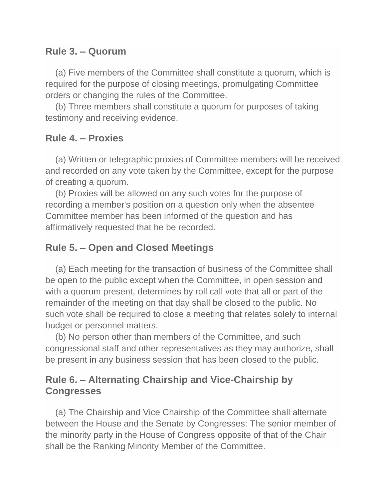### **Rule 3. – Quorum**

 (a) Five members of the Committee shall constitute a quorum, which is required for the purpose of closing meetings, promulgating Committee orders or changing the rules of the Committee.

 (b) Three members shall constitute a quorum for purposes of taking testimony and receiving evidence.

## **Rule 4. – Proxies**

 (a) Written or telegraphic proxies of Committee members will be received and recorded on any vote taken by the Committee, except for the purpose of creating a quorum.

 (b) Proxies will be allowed on any such votes for the purpose of recording a member's position on a question only when the absentee Committee member has been informed of the question and has affirmatively requested that he be recorded.

## **Rule 5. – Open and Closed Meetings**

 (a) Each meeting for the transaction of business of the Committee shall be open to the public except when the Committee, in open session and with a quorum present, determines by roll call vote that all or part of the remainder of the meeting on that day shall be closed to the public. No such vote shall be required to close a meeting that relates solely to internal budget or personnel matters.

 (b) No person other than members of the Committee, and such congressional staff and other representatives as they may authorize, shall be present in any business session that has been closed to the public.

## **Rule 6. – Alternating Chairship and Vice-Chairship by Congresses**

 (a) The Chairship and Vice Chairship of the Committee shall alternate between the House and the Senate by Congresses: The senior member of the minority party in the House of Congress opposite of that of the Chair shall be the Ranking Minority Member of the Committee.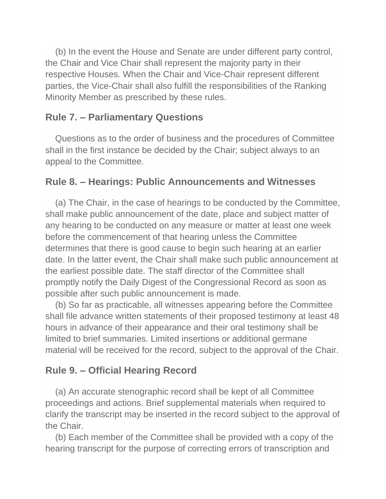(b) In the event the House and Senate are under different party control, the Chair and Vice Chair shall represent the majority party in their respective Houses. When the Chair and Vice-Chair represent different parties, the Vice-Chair shall also fulfill the responsibilities of the Ranking Minority Member as prescribed by these rules.

### **Rule 7. – Parliamentary Questions**

 Questions as to the order of business and the procedures of Committee shall in the first instance be decided by the Chair; subject always to an appeal to the Committee.

#### **Rule 8. – Hearings: Public Announcements and Witnesses**

 (a) The Chair, in the case of hearings to be conducted by the Committee, shall make public announcement of the date, place and subject matter of any hearing to be conducted on any measure or matter at least one week before the commencement of that hearing unless the Committee determines that there is good cause to begin such hearing at an earlier date. In the latter event, the Chair shall make such public announcement at the earliest possible date. The staff director of the Committee shall promptly notify the Daily Digest of the Congressional Record as soon as possible after such public announcement is made.

 (b) So far as practicable, all witnesses appearing before the Committee shall file advance written statements of their proposed testimony at least 48 hours in advance of their appearance and their oral testimony shall be limited to brief summaries. Limited insertions or additional germane material will be received for the record, subject to the approval of the Chair.

## **Rule 9. – Official Hearing Record**

 (a) An accurate stenographic record shall be kept of all Committee proceedings and actions. Brief supplemental materials when required to clarify the transcript may be inserted in the record subject to the approval of the Chair.

 (b) Each member of the Committee shall be provided with a copy of the hearing transcript for the purpose of correcting errors of transcription and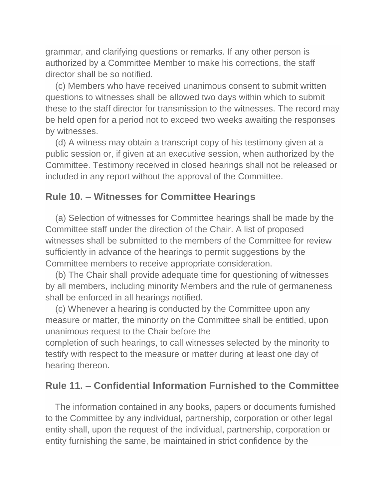grammar, and clarifying questions or remarks. If any other person is authorized by a Committee Member to make his corrections, the staff director shall be so notified.

 (c) Members who have received unanimous consent to submit written questions to witnesses shall be allowed two days within which to submit these to the staff director for transmission to the witnesses. The record may be held open for a period not to exceed two weeks awaiting the responses by witnesses.

 (d) A witness may obtain a transcript copy of his testimony given at a public session or, if given at an executive session, when authorized by the Committee. Testimony received in closed hearings shall not be released or included in any report without the approval of the Committee.

#### **Rule 10. – Witnesses for Committee Hearings**

 (a) Selection of witnesses for Committee hearings shall be made by the Committee staff under the direction of the Chair. A list of proposed witnesses shall be submitted to the members of the Committee for review sufficiently in advance of the hearings to permit suggestions by the Committee members to receive appropriate consideration.

 (b) The Chair shall provide adequate time for questioning of witnesses by all members, including minority Members and the rule of germaneness shall be enforced in all hearings notified.

 (c) Whenever a hearing is conducted by the Committee upon any measure or matter, the minority on the Committee shall be entitled, upon unanimous request to the Chair before the

completion of such hearings, to call witnesses selected by the minority to testify with respect to the measure or matter during at least one day of hearing thereon.

#### **Rule 11. – Confidential Information Furnished to the Committee**

 The information contained in any books, papers or documents furnished to the Committee by any individual, partnership, corporation or other legal entity shall, upon the request of the individual, partnership, corporation or entity furnishing the same, be maintained in strict confidence by the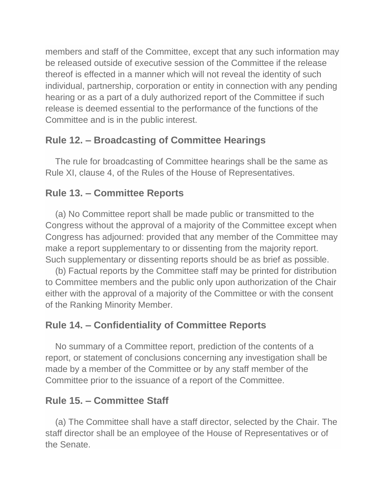members and staff of the Committee, except that any such information may be released outside of executive session of the Committee if the release thereof is effected in a manner which will not reveal the identity of such individual, partnership, corporation or entity in connection with any pending hearing or as a part of a duly authorized report of the Committee if such release is deemed essential to the performance of the functions of the Committee and is in the public interest.

## **Rule 12. – Broadcasting of Committee Hearings**

 The rule for broadcasting of Committee hearings shall be the same as Rule XI, clause 4, of the Rules of the House of Representatives.

## **Rule 13. – Committee Reports**

 (a) No Committee report shall be made public or transmitted to the Congress without the approval of a majority of the Committee except when Congress has adjourned: provided that any member of the Committee may make a report supplementary to or dissenting from the majority report. Such supplementary or dissenting reports should be as brief as possible.

 (b) Factual reports by the Committee staff may be printed for distribution to Committee members and the public only upon authorization of the Chair either with the approval of a majority of the Committee or with the consent of the Ranking Minority Member.

## **Rule 14. – Confidentiality of Committee Reports**

 No summary of a Committee report, prediction of the contents of a report, or statement of conclusions concerning any investigation shall be made by a member of the Committee or by any staff member of the Committee prior to the issuance of a report of the Committee.

## **Rule 15. – Committee Staff**

 (a) The Committee shall have a staff director, selected by the Chair. The staff director shall be an employee of the House of Representatives or of the Senate.